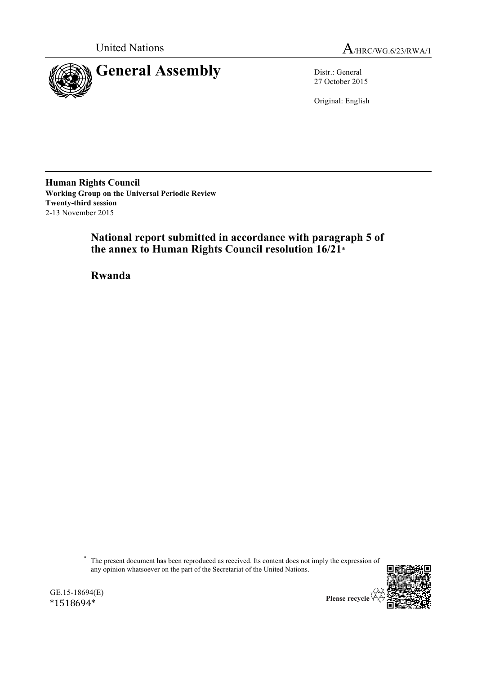

United Nations A/HRC/WG.6/23/RWA/1

27 October 2015

Original: English

**Human Rights Council Working Group on the Universal Periodic Review Twenty-third session** 2-13 November 2015

> **National report submitted in accordance with paragraph 5 of the annex to Human Rights Council resolution 16/21**\*

**Rwanda**

\* The present document has been reproduced as received. Its content does not imply the expression of any opinion whatsoever on the part of the Secretariat of the United Nations.



GE.15-18694(E) \*1518694\*

Please recycle  $\overline{\mathbf{\langle}}$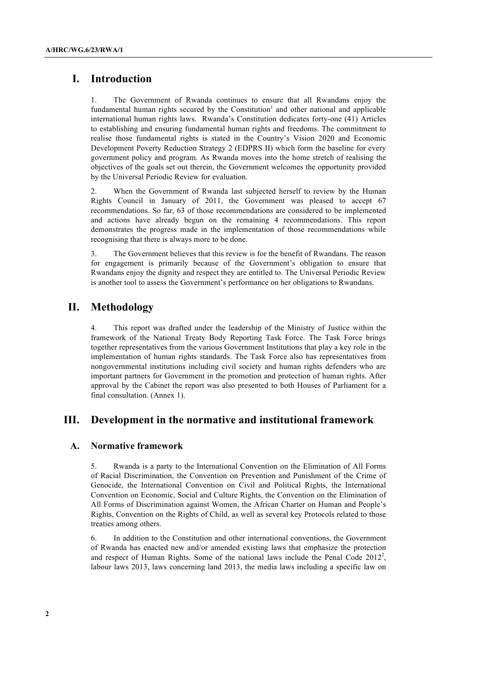# **I. Introduction**

1. The Government of Rwanda continues to ensure that all Rwandans enjoy the fundamental human rights secured by the Constitution<sup>1</sup> and other national and applicable international human rights laws. Rwanda's Constitution dedicates forty-one (41) Articles to establishing and ensuring fundamental human rights and freedoms. The commitment to realise those fundamental rights is stated in the Country's Vision 2020 and Economic Development Poverty Reduction Strategy 2 (EDPRS II) which form the baseline for every government policy and program. As Rwanda moves into the home stretch of realising the objectives of the goals set out therein, the Government welcomes the opportunity provided by the Universal Periodic Review for evaluation.

2. When the Government of Rwanda last subjected herself to review by the Human Rights Council in January of 2011, the Government was pleased to accept 67 recommendations. So far, 63 of those recommendations are considered to be implemented and actions have already begun on the remaining 4 recommendations. This report demonstrates the progress made in the implementation of those recommendations while recognising that there is always more to be done.

3. The Government believes that this review is for the benefit of Rwandans. The reason for engagement is primarily because of the Government's obligation to ensure that Rwandans enjoy the dignity and respect they are entitled to. The Universal Periodic Review is another tool to assess the Government's performance on her obligations to Rwandans.

# **II. Methodology**

4. This report was drafted under the leadership of the Ministry of Justice within the framework of the National Treaty Body Reporting Task Force. The Task Force brings together representatives from the various Government Institutions that play a key role in the implementation of human rights standards. The Task Force also has representatives from nongovernmental institutions including civil society and human rights defenders who are important partners for Government in the promotion and protection of human rights. After approval by the Cabinet the report was also presented to both Houses of Parliament for a final consultation. (Annex 1).

# **III. Development in the normative and institutional framework**

# **A. Normative framework**

5. Rwanda is a party to the International Convention on the Elimination of All Forms of Racial Discrimination, the Convention on Prevention and Punishment of the Crime of Genocide, the International Convention on Civil and Political Rights, the International Convention on Economic, Social and Culture Rights, the Convention on the Elimination of All Forms of Discrimination against Women, the African Charter on Human and People's Rights, Convention on the Rights of Child, as well as several key Protocols related to those treaties among others.

6. In addition to the Constitution and other international conventions, the Government of Rwanda has enacted new and/or amended existing laws that emphasize the protection and respect of Human Rights. Some of the national laws include the Penal Code  $2012^2$ , labour laws 2013, laws concerning land 2013, the media laws including a specific law on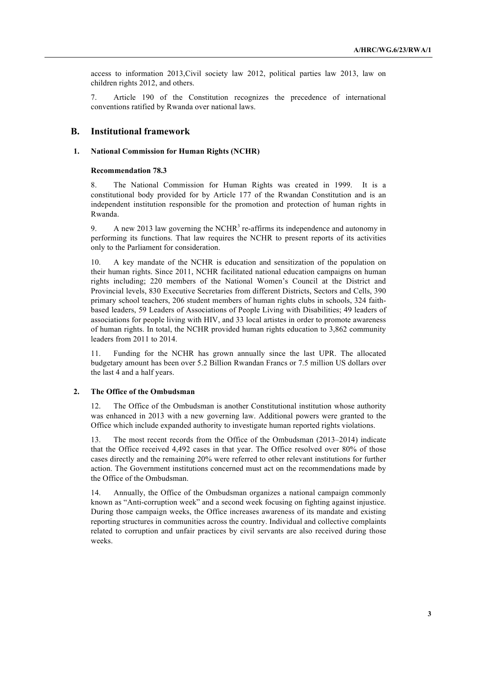access to information 2013,Civil society law 2012, political parties law 2013, law on children rights 2012, and others.

7. Article 190 of the Constitution recognizes the precedence of international conventions ratified by Rwanda over national laws.

### **B. Institutional framework**

#### **1. National Commission for Human Rights (NCHR)**

### **Recommendation 78.3**

8. The National Commission for Human Rights was created in 1999. It is a constitutional body provided for by Article 177 of the Rwandan Constitution and is an independent institution responsible for the promotion and protection of human rights in Rwanda.

9. A new 2013 law governing the NCHR<sup>3</sup> re-affirms its independence and autonomy in performing its functions. That law requires the NCHR to present reports of its activities only to the Parliament for consideration.

10. A key mandate of the NCHR is education and sensitization of the population on their human rights. Since 2011, NCHR facilitated national education campaigns on human rights including; 220 members of the National Women's Council at the District and Provincial levels, 830 Executive Secretaries from different Districts, Sectors and Cells, 390 primary school teachers, 206 student members of human rights clubs in schools, 324 faithbased leaders, 59 Leaders of Associations of People Living with Disabilities; 49 leaders of associations for people living with HIV, and 33 local artistes in order to promote awareness of human rights. In total, the NCHR provided human rights education to 3,862 community leaders from 2011 to 2014.

11. Funding for the NCHR has grown annually since the last UPR. The allocated budgetary amount has been over 5.2 Billion Rwandan Francs or 7.5 million US dollars over the last 4 and a half years.

### **2. The Office of the Ombudsman**

12. The Office of the Ombudsman is another Constitutional institution whose authority was enhanced in 2013 with a new governing law. Additional powers were granted to the Office which include expanded authority to investigate human reported rights violations.

13. The most recent records from the Office of the Ombudsman (2013–2014) indicate that the Office received 4,492 cases in that year. The Office resolved over 80% of those cases directly and the remaining 20% were referred to other relevant institutions for further action. The Government institutions concerned must act on the recommendations made by the Office of the Ombudsman.

14. Annually, the Office of the Ombudsman organizes a national campaign commonly known as "Anti-corruption week" and a second week focusing on fighting against injustice. During those campaign weeks, the Office increases awareness of its mandate and existing reporting structures in communities across the country. Individual and collective complaints related to corruption and unfair practices by civil servants are also received during those weeks.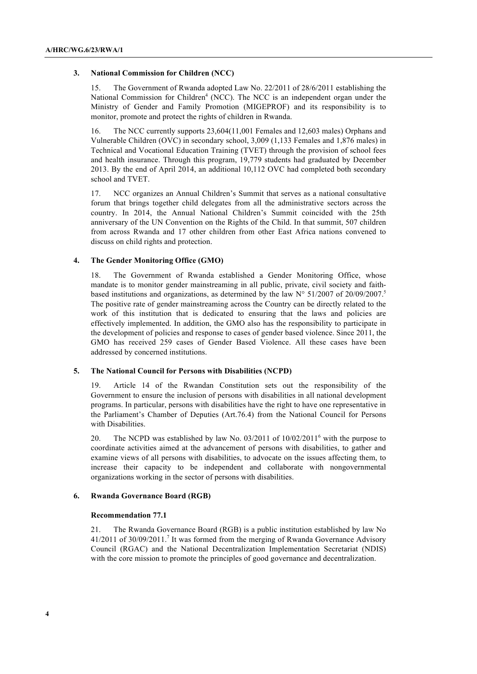#### **3. National Commission for Children (NCC)**

The Government of Rwanda adopted Law No. 22/2011 of 28/6/2011 establishing the National Commission for Children<sup>4</sup> (NCC). The NCC is an independent organ under the Ministry of Gender and Family Promotion (MIGEPROF) and its responsibility is to monitor, promote and protect the rights of children in Rwanda.

16. The NCC currently supports 23,604(11,001 Females and 12,603 males) Orphans and Vulnerable Children (OVC) in secondary school, 3,009 (1,133 Females and 1,876 males) in Technical and Vocational Education Training (TVET) through the provision of school fees and health insurance. Through this program, 19,779 students had graduated by December 2013. By the end of April 2014, an additional 10,112 OVC had completed both secondary school and TVET.

17. NCC organizes an Annual Children's Summit that serves as a national consultative forum that brings together child delegates from all the administrative sectors across the country. In 2014, the Annual National Children's Summit coincided with the 25th anniversary of the UN Convention on the Rights of the Child. In that summit, 507 children from across Rwanda and 17 other children from other East Africa nations convened to discuss on child rights and protection.

#### **4. The Gender Monitoring Office (GMO)**

18. The Government of Rwanda established a Gender Monitoring Office, whose mandate is to monitor gender mainstreaming in all public, private, civil society and faithbased institutions and organizations, as determined by the law  $N^{\circ}$  51/2007 of 20/09/2007.<sup>5</sup> The positive rate of gender mainstreaming across the Country can be directly related to the work of this institution that is dedicated to ensuring that the laws and policies are effectively implemented. In addition, the GMO also has the responsibility to participate in the development of policies and response to cases of gender based violence. Since 2011, the GMO has received 259 cases of Gender Based Violence. All these cases have been addressed by concerned institutions.

### **5. The National Council for Persons with Disabilities (NCPD)**

19. Article 14 of the Rwandan Constitution sets out the responsibility of the Government to ensure the inclusion of persons with disabilities in all national development programs. In particular, persons with disabilities have the right to have one representative in the Parliament's Chamber of Deputies (Art.76.4) from the National Council for Persons with Disabilities.

20. The NCPD was established by law No.  $03/2011$  of  $10/02/2011^6$  with the purpose to coordinate activities aimed at the advancement of persons with disabilities, to gather and examine views of all persons with disabilities, to advocate on the issues affecting them, to increase their capacity to be independent and collaborate with nongovernmental organizations working in the sector of persons with disabilities.

#### **6. Rwanda Governance Board (RGB)**

#### **Recommendation 77.1**

21. The Rwanda Governance Board (RGB) is a public institution established by law No 41/2011 of 30/09/2011.<sup>7</sup> It was formed from the merging of Rwanda Governance Advisory Council (RGAC) and the National Decentralization Implementation Secretariat (NDIS) with the core mission to promote the principles of good governance and decentralization.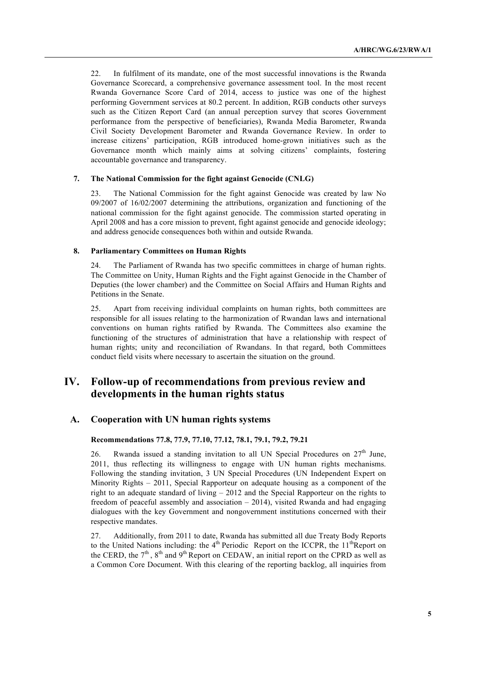22. In fulfilment of its mandate, one of the most successful innovations is the Rwanda Governance Scorecard, a comprehensive governance assessment tool. In the most recent Rwanda Governance Score Card of 2014, access to justice was one of the highest performing Government services at 80.2 percent. In addition, RGB conducts other surveys such as the Citizen Report Card (an annual perception survey that scores Government performance from the perspective of beneficiaries), Rwanda Media Barometer, Rwanda Civil Society Development Barometer and Rwanda Governance Review. In order to increase citizens' participation, RGB introduced home-grown initiatives such as the Governance month which mainly aims at solving citizens' complaints, fostering accountable governance and transparency.

## **7. The National Commission for the fight against Genocide (CNLG)**

23. The National Commission for the fight against Genocide was created by law No 09/2007 of 16/02/2007 determining the attributions, organization and functioning of the national commission for the fight against genocide. The commission started operating in April 2008 and has a core mission to prevent, fight against genocide and genocide ideology; and address genocide consequences both within and outside Rwanda.

#### **8. Parliamentary Committees on Human Rights**

24. The Parliament of Rwanda has two specific committees in charge of human rights. The Committee on Unity, Human Rights and the Fight against Genocide in the Chamber of Deputies (the lower chamber) and the Committee on Social Affairs and Human Rights and Petitions in the Senate.

25. Apart from receiving individual complaints on human rights, both committees are responsible for all issues relating to the harmonization of Rwandan laws and international conventions on human rights ratified by Rwanda. The Committees also examine the functioning of the structures of administration that have a relationship with respect of human rights; unity and reconciliation of Rwandans. In that regard, both Committees conduct field visits where necessary to ascertain the situation on the ground.

# **IV. Follow-up of recommendations from previous review and developments in the human rights status**

## **A. Cooperation with UN human rights systems**

#### **Recommendations 77.8, 77.9, 77.10, 77.12, 78.1, 79.1, 79.2, 79.21**

26. Rwanda issued a standing invitation to all UN Special Procedures on  $27<sup>th</sup>$  June, 2011, thus reflecting its willingness to engage with UN human rights mechanisms. Following the standing invitation, 3 UN Special Procedures (UN Independent Expert on Minority Rights – 2011, Special Rapporteur on adequate housing as a component of the right to an adequate standard of living – 2012 and the Special Rapporteur on the rights to freedom of peaceful assembly and association  $-2014$ ), visited Rwanda and had engaging dialogues with the key Government and nongovernment institutions concerned with their respective mandates.

27. Additionally, from 2011 to date, Rwanda has submitted all due Treaty Body Reports to the United Nations including: the  $4<sup>th</sup>$  Periodic Report on the ICCPR, the  $11<sup>th</sup>$  Report on the CERD, the  $7<sup>th</sup>$ ,  $8<sup>th</sup>$  and  $9<sup>th</sup>$  Report on CEDAW, an initial report on the CPRD as well as a Common Core Document. With this clearing of the reporting backlog, all inquiries from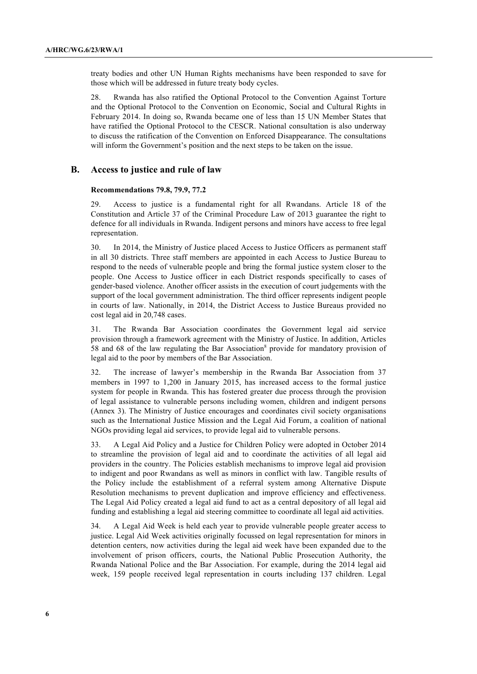treaty bodies and other UN Human Rights mechanisms have been responded to save for those which will be addressed in future treaty body cycles.

28. Rwanda has also ratified the Optional Protocol to the Convention Against Torture and the Optional Protocol to the Convention on Economic, Social and Cultural Rights in February 2014. In doing so, Rwanda became one of less than 15 UN Member States that have ratified the Optional Protocol to the CESCR. National consultation is also underway to discuss the ratification of the Convention on Enforced Disappearance. The consultations will inform the Government's position and the next steps to be taken on the issue.

### **B. Access to justice and rule of law**

#### **Recommendations 79.8, 79.9, 77.2**

29. Access to justice is a fundamental right for all Rwandans. Article 18 of the Constitution and Article 37 of the Criminal Procedure Law of 2013 guarantee the right to defence for all individuals in Rwanda. Indigent persons and minors have access to free legal representation.

30. In 2014, the Ministry of Justice placed Access to Justice Officers as permanent staff in all 30 districts. Three staff members are appointed in each Access to Justice Bureau to respond to the needs of vulnerable people and bring the formal justice system closer to the people. One Access to Justice officer in each District responds specifically to cases of gender-based violence. Another officer assists in the execution of court judgements with the support of the local government administration. The third officer represents indigent people in courts of law. Nationally, in 2014, the District Access to Justice Bureaus provided no cost legal aid in 20,748 cases.

31. The Rwanda Bar Association coordinates the Government legal aid service provision through a framework agreement with the Ministry of Justice. In addition, Articles 58 and 68 of the law regulating the Bar Association<sup>8</sup> provide for mandatory provision of legal aid to the poor by members of the Bar Association.

32. The increase of lawyer's membership in the Rwanda Bar Association from 37 members in 1997 to 1,200 in January 2015, has increased access to the formal justice system for people in Rwanda. This has fostered greater due process through the provision of legal assistance to vulnerable persons including women, children and indigent persons (Annex 3). The Ministry of Justice encourages and coordinates civil society organisations such as the International Justice Mission and the Legal Aid Forum, a coalition of national NGOs providing legal aid services, to provide legal aid to vulnerable persons.

33. A Legal Aid Policy and a Justice for Children Policy were adopted in October 2014 to streamline the provision of legal aid and to coordinate the activities of all legal aid providers in the country. The Policies establish mechanisms to improve legal aid provision to indigent and poor Rwandans as well as minors in conflict with law. Tangible results of the Policy include the establishment of a referral system among Alternative Dispute Resolution mechanisms to prevent duplication and improve efficiency and effectiveness. The Legal Aid Policy created a legal aid fund to act as a central depository of all legal aid funding and establishing a legal aid steering committee to coordinate all legal aid activities.

34. A Legal Aid Week is held each year to provide vulnerable people greater access to justice. Legal Aid Week activities originally focussed on legal representation for minors in detention centers, now activities during the legal aid week have been expanded due to the involvement of prison officers, courts, the National Public Prosecution Authority, the Rwanda National Police and the Bar Association. For example, during the 2014 legal aid week, 159 people received legal representation in courts including 137 children. Legal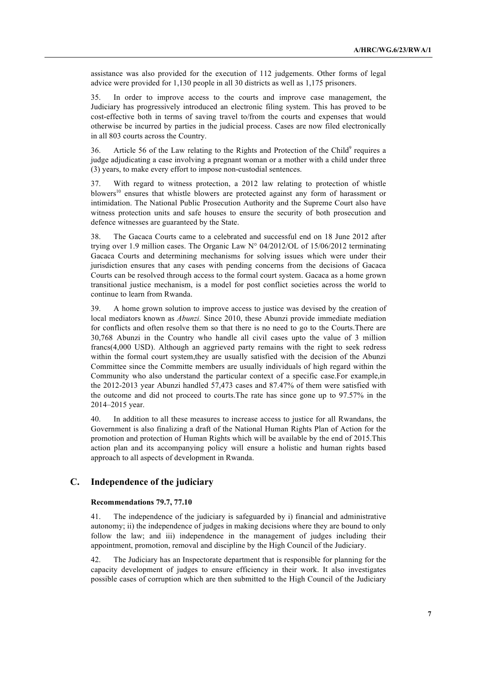assistance was also provided for the execution of 112 judgements. Other forms of legal advice were provided for 1,130 people in all 30 districts as well as 1,175 prisoners.

35. In order to improve access to the courts and improve case management, the Judiciary has progressively introduced an electronic filing system. This has proved to be cost-effective both in terms of saving travel to/from the courts and expenses that would otherwise be incurred by parties in the judicial process. Cases are now filed electronically in all 803 courts across the Country.

36. Article 56 of the Law relating to the Rights and Protection of the Child<sup>9</sup> requires a judge adjudicating a case involving a pregnant woman or a mother with a child under three (3) years, to make every effort to impose non-custodial sentences.

37. With regard to witness protection, a 2012 law relating to protection of whistle blowers<sup>10</sup> ensures that whistle blowers are protected against any form of harassment or intimidation. The National Public Prosecution Authority and the Supreme Court also have witness protection units and safe houses to ensure the security of both prosecution and defence witnesses are guaranteed by the State.

38. The Gacaca Courts came to a celebrated and successful end on 18 June 2012 after trying over 1.9 million cases. The Organic Law N° 04/2012/OL of 15/06/2012 terminating Gacaca Courts and determining mechanisms for solving issues which were under their jurisdiction ensures that any cases with pending concerns from the decisions of Gacaca Courts can be resolved through access to the formal court system. Gacaca as a home grown transitional justice mechanism, is a model for post conflict societies across the world to continue to learn from Rwanda.

39. A home grown solution to improve access to justice was devised by the creation of local mediators known as *Abunzi.* Since 2010, these Abunzi provide immediate mediation for conflicts and often resolve them so that there is no need to go to the Courts.There are 30,768 Abunzi in the Country who handle all civil cases upto the value of 3 million francs(4,000 USD). Although an aggrieved party remains with the right to seek redress within the formal court system,they are usually satisfied with the decision of the Abunzi Committee since the Committe members are usually individuals of high regard within the Community who also understand the particular context of a specific case.For example,in the 2012-2013 year Abunzi handled 57,473 cases and 87.47% of them were satisfied with the outcome and did not proceed to courts.The rate has since gone up to 97.57% in the 2014–2015 year.

40. In addition to all these measures to increase access to justice for all Rwandans, the Government is also finalizing a draft of the National Human Rights Plan of Action for the promotion and protection of Human Rights which will be available by the end of 2015.This action plan and its accompanying policy will ensure a holistic and human rights based approach to all aspects of development in Rwanda.

# **C. Independence of the judiciary**

#### **Recommendations 79.7, 77.10**

41. The independence of the judiciary is safeguarded by i) financial and administrative autonomy; ii) the independence of judges in making decisions where they are bound to only follow the law; and iii) independence in the management of judges including their appointment, promotion, removal and discipline by the High Council of the Judiciary.

42. The Judiciary has an Inspectorate department that is responsible for planning for the capacity development of judges to ensure efficiency in their work. It also investigates possible cases of corruption which are then submitted to the High Council of the Judiciary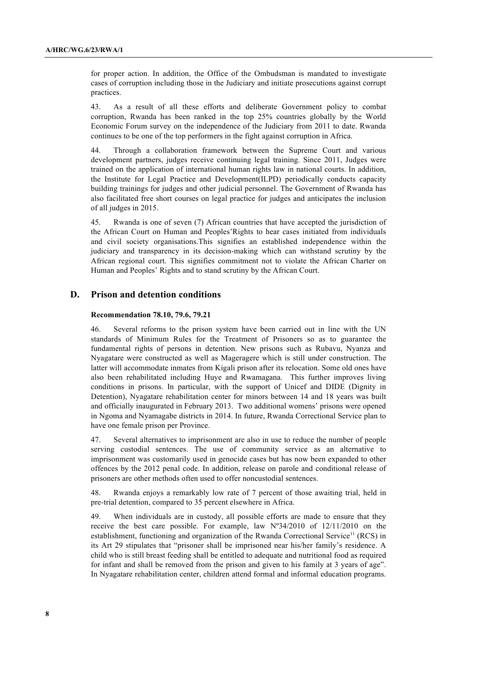for proper action. In addition, the Office of the Ombudsman is mandated to investigate cases of corruption including those in the Judiciary and initiate prosecutions against corrupt practices.

43. As a result of all these efforts and deliberate Government policy to combat corruption, Rwanda has been ranked in the top 25% countries globally by the World Economic Forum survey on the independence of the Judiciary from 2011 to date. Rwanda continues to be one of the top performers in the fight against corruption in Africa.

44. Through a collaboration framework between the Supreme Court and various development partners, judges receive continuing legal training. Since 2011, Judges were trained on the application of international human rights law in national courts. In addition, the Institute for Legal Practice and Development(ILPD) periodically conducts capacity building trainings for judges and other judicial personnel. The Government of Rwanda has also facilitated free short courses on legal practice for judges and anticipates the inclusion of all judges in 2015.

45. Rwanda is one of seven (7) African countries that have accepted the jurisdiction of the African Court on Human and Peoples'Rights to hear cases initiated from individuals and civil society organisations.This signifies an established independence within the judiciary and transparency in its decision-making which can withstand scrutiny by the African regional court. This signifies commitment not to violate the African Charter on Human and Peoples' Rights and to stand scrutiny by the African Court.

## **D. Prison and detention conditions**

#### **Recommendation 78.10, 79.6, 79.21**

46. Several reforms to the prison system have been carried out in line with the UN standards of Minimum Rules for the Treatment of Prisoners so as to guarantee the fundamental rights of persons in detention. New prisons such as Rubavu, Nyanza and Nyagatare were constructed as well as Mageragere which is still under construction. The latter will accommodate inmates from Kigali prison after its relocation. Some old ones have also been rehabilitated including Huye and Rwamagana. This further improves living conditions in prisons. In particular, with the support of Unicef and DIDE (Dignity in Detention), Nyagatare rehabilitation center for minors between 14 and 18 years was built and officially inaugurated in February 2013. Two additional womens' prisons were opened in Ngoma and Nyamagabe districts in 2014. In future, Rwanda Correctional Service plan to have one female prison per Province.

47. Several alternatives to imprisonment are also in use to reduce the number of people serving custodial sentences. The use of community service as an alternative to imprisonment was customarily used in genocide cases but has now been expanded to other offences by the 2012 penal code. In addition, release on parole and conditional release of prisoners are other methods often used to offer noncustodial sentences.

48. Rwanda enjoys a remarkably low rate of 7 percent of those awaiting trial, held in pre-trial detention, compared to 35 percent elsewhere in Africa.

49. When individuals are in custody, all possible efforts are made to ensure that they receive the best care possible. For example, law Nº34/2010 of 12/11/2010 on the establishment, functioning and organization of the Rwanda Correctional Service<sup>11</sup> (RCS) in its Art 29 stipulates that "prisoner shall be imprisoned near his/her family's residence. A child who is still breast feeding shall be entitled to adequate and nutritional food as required for infant and shall be removed from the prison and given to his family at 3 years of age". In Nyagatare rehabilitation center, children attend formal and informal education programs.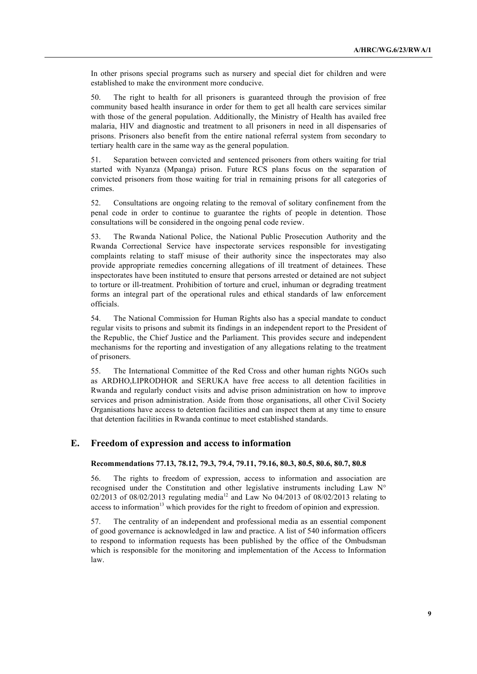In other prisons special programs such as nursery and special diet for children and were established to make the environment more conducive.

50. The right to health for all prisoners is guaranteed through the provision of free community based health insurance in order for them to get all health care services similar with those of the general population. Additionally, the Ministry of Health has availed free malaria, HIV and diagnostic and treatment to all prisoners in need in all dispensaries of prisons. Prisoners also benefit from the entire national referral system from secondary to tertiary health care in the same way as the general population.

51. Separation between convicted and sentenced prisoners from others waiting for trial started with Nyanza (Mpanga) prison. Future RCS plans focus on the separation of convicted prisoners from those waiting for trial in remaining prisons for all categories of crimes.

52. Consultations are ongoing relating to the removal of solitary confinement from the penal code in order to continue to guarantee the rights of people in detention. Those consultations will be considered in the ongoing penal code review.

53. The Rwanda National Police, the National Public Prosecution Authority and the Rwanda Correctional Service have inspectorate services responsible for investigating complaints relating to staff misuse of their authority since the inspectorates may also provide appropriate remedies concerning allegations of ill treatment of detainees. These inspectorates have been instituted to ensure that persons arrested or detained are not subject to torture or ill-treatment. Prohibition of torture and cruel, inhuman or degrading treatment forms an integral part of the operational rules and ethical standards of law enforcement officials.

54. The National Commission for Human Rights also has a special mandate to conduct regular visits to prisons and submit its findings in an independent report to the President of the Republic, the Chief Justice and the Parliament. This provides secure and independent mechanisms for the reporting and investigation of any allegations relating to the treatment of prisoners.

55. The International Committee of the Red Cross and other human rights NGOs such as ARDHO,LIPRODHOR and SERUKA have free access to all detention facilities in Rwanda and regularly conduct visits and advise prison administration on how to improve services and prison administration. Aside from those organisations, all other Civil Society Organisations have access to detention facilities and can inspect them at any time to ensure that detention facilities in Rwanda continue to meet established standards.

# **E. Freedom of expression and access to information**

### **Recommendations 77.13, 78.12, 79.3, 79.4, 79.11, 79.16, 80.3, 80.5, 80.6, 80.7, 80.8**

56. The rights to freedom of expression, access to information and association are recognised under the Constitution and other legislative instruments including Law  $N^{\circ}$ 02/2013 of 08/02/2013 regulating media<sup>12</sup> and Law No 04/2013 of 08/02/2013 relating to access to information<sup>13</sup> which provides for the right to freedom of opinion and expression.

57. The centrality of an independent and professional media as an essential component of good governance is acknowledged in law and practice. A list of 540 information officers to respond to information requests has been published by the office of the Ombudsman which is responsible for the monitoring and implementation of the Access to Information law.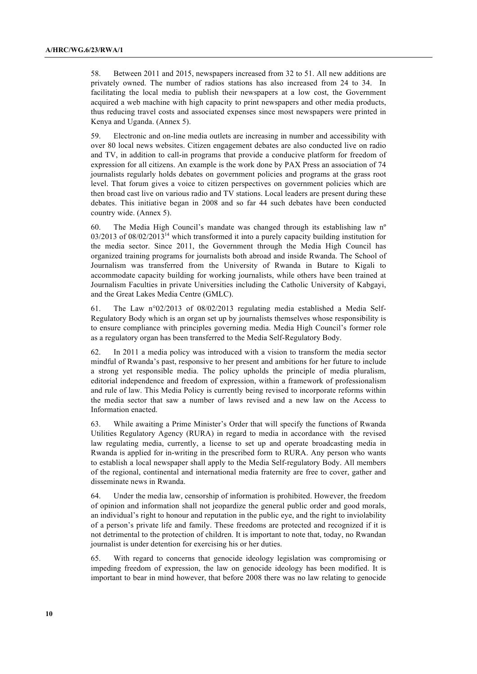58. Between 2011 and 2015, newspapers increased from 32 to 51. All new additions are privately owned. The number of radios stations has also increased from 24 to 34. In facilitating the local media to publish their newspapers at a low cost, the Government acquired a web machine with high capacity to print newspapers and other media products, thus reducing travel costs and associated expenses since most newspapers were printed in Kenya and Uganda. (Annex 5).

59. Electronic and on-line media outlets are increasing in number and accessibility with over 80 local news websites. Citizen engagement debates are also conducted live on radio and TV, in addition to call-in programs that provide a conducive platform for freedom of expression for all citizens. An example is the work done by PAX Press an association of 74 journalists regularly holds debates on government policies and programs at the grass root level. That forum gives a voice to citizen perspectives on government policies which are then broad cast live on various radio and TV stations. Local leaders are present during these debates. This initiative began in 2008 and so far 44 such debates have been conducted country wide. (Annex 5).

60. The Media High Council's mandate was changed through its establishing law nº 03/2013 of 08/02/2013<sup>14</sup> which transformed it into a purely capacity building institution for the media sector. Since 2011, the Government through the Media High Council has organized training programs for journalists both abroad and inside Rwanda. The School of Journalism was transferred from the University of Rwanda in Butare to Kigali to accommodate capacity building for working journalists, while others have been trained at Journalism Faculties in private Universities including the Catholic University of Kabgayi, and the Great Lakes Media Centre (GMLC).

61. The Law n°02/2013 of 08/02/2013 regulating media established a Media Self-Regulatory Body which is an organ set up by journalists themselves whose responsibility is to ensure compliance with principles governing media. Media High Council's former role as a regulatory organ has been transferred to the Media Self-Regulatory Body.

62. In 2011 a media policy was introduced with a vision to transform the media sector mindful of Rwanda's past, responsive to her present and ambitions for her future to include a strong yet responsible media. The policy upholds the principle of media pluralism, editorial independence and freedom of expression, within a framework of professionalism and rule of law. This Media Policy is currently being revised to incorporate reforms within the media sector that saw a number of laws revised and a new law on the Access to Information enacted.

63. While awaiting a Prime Minister's Order that will specify the functions of Rwanda Utilities Regulatory Agency (RURA) in regard to media in accordance with the revised law regulating media, currently, a license to set up and operate broadcasting media in Rwanda is applied for in-writing in the prescribed form to RURA. Any person who wants to establish a local newspaper shall apply to the Media Self-regulatory Body. All members of the regional, continental and international media fraternity are free to cover, gather and disseminate news in Rwanda.

64. Under the media law, censorship of information is prohibited. However, the freedom of opinion and information shall not jeopardize the general public order and good morals, an individual's right to honour and reputation in the public eye, and the right to inviolability of a person's private life and family. These freedoms are protected and recognized if it is not detrimental to the protection of children. It is important to note that, today, no Rwandan journalist is under detention for exercising his or her duties.

65. With regard to concerns that genocide ideology legislation was compromising or impeding freedom of expression, the law on genocide ideology has been modified. It is important to bear in mind however, that before 2008 there was no law relating to genocide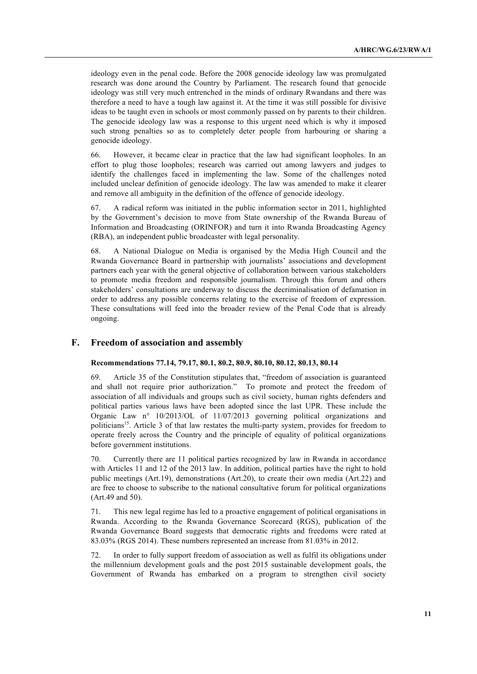ideology even in the penal code. Before the 2008 genocide ideology law was promulgated research was done around the Country by Parliament. The research found that genocide ideology was still very much entrenched in the minds of ordinary Rwandans and there was therefore a need to have a tough law against it. At the time it was still possible for divisive ideas to be taught even in schools or most commonly passed on by parents to their children. The genocide ideology law was a response to this urgent need which is why it imposed such strong penalties so as to completely deter people from harbouring or sharing a genocide ideology.

66. However, it became clear in practice that the law had significant loopholes. In an effort to plug those loopholes; research was carried out among lawyers and judges to identify the challenges faced in implementing the law. Some of the challenges noted included unclear definition of genocide ideology. The law was amended to make it clearer and remove all ambiguity in the definition of the offence of genocide ideology.

67. A radical reform was initiated in the public information sector in 2011, highlighted by the Government's decision to move from State ownership of the Rwanda Bureau of Information and Broadcasting (ORINFOR) and turn it into Rwanda Broadcasting Agency (RBA), an independent public broadcaster with legal personality.

68. A National Dialogue on Media is organised by the Media High Council and the Rwanda Governance Board in partnership with journalists' associations and development partners each year with the general objective of collaboration between various stakeholders to promote media freedom and responsible journalism. Through this forum and others stakeholders' consultations are underway to discuss the decriminalisation of defamation in order to address any possible concerns relating to the exercise of freedom of expression. These consultations will feed into the broader review of the Penal Code that is already ongoing.

## **F. Freedom of association and assembly**

### **Recommendations 77.14, 79.17, 80.1, 80.2, 80.9, 80.10, 80.12, 80.13, 80.14**

69. Article 35 of the Constitution stipulates that, "freedom of association is guaranteed and shall not require prior authorization." To promote and protect the freedom of association of all individuals and groups such as civil society, human rights defenders and political parties various laws have been adopted since the last UPR. These include the Organic Law n° 10/2013/OL of 11/07/2013 governing political organizations and politicians<sup>15</sup>. Article 3 of that law restates the multi-party system, provides for freedom to operate freely across the Country and the principle of equality of political organizations before government institutions.

70. Currently there are 11 political parties recognized by law in Rwanda in accordance with Articles 11 and 12 of the 2013 law. In addition, political parties have the right to hold public meetings (Art.19), demonstrations (Art.20), to create their own media (Art.22) and are free to choose to subscribe to the national consultative forum for political organizations (Art.49 and 50).

71. This new legal regime has led to a proactive engagement of political organisations in Rwanda. According to the Rwanda Governance Scorecard (RGS), publication of the Rwanda Governance Board suggests that democratic rights and freedoms were rated at 83.03% (RGS 2014). These numbers represented an increase from 81.03% in 2012.

72. In order to fully support freedom of association as well as fulfil its obligations under the millennium development goals and the post 2015 sustainable development goals, the Government of Rwanda has embarked on a program to strengthen civil society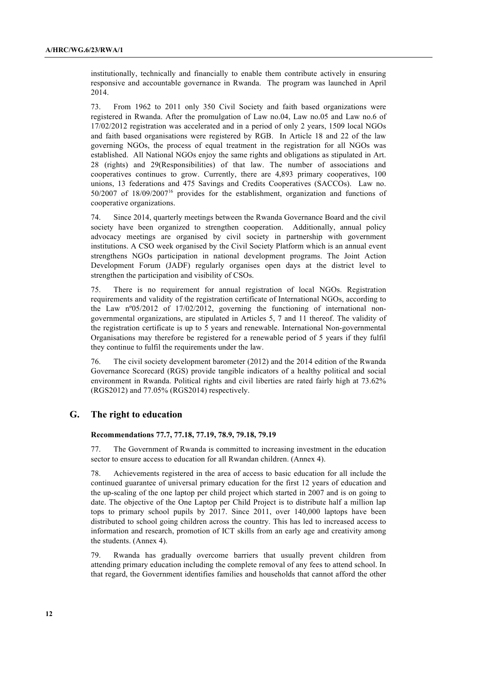institutionally, technically and financially to enable them contribute actively in ensuring responsive and accountable governance in Rwanda. The program was launched in April 2014.

73. From 1962 to 2011 only 350 Civil Society and faith based organizations were registered in Rwanda. After the promulgation of Law no.04, Law no.05 and Law no.6 of 17/02/2012 registration was accelerated and in a period of only 2 years, 1509 local NGOs and faith based organisations were registered by RGB. In Article 18 and 22 of the law governing NGOs, the process of equal treatment in the registration for all NGOs was established. All National NGOs enjoy the same rights and obligations as stipulated in Art. 28 (rights) and 29(Responsibilities) of that law. The number of associations and cooperatives continues to grow. Currently, there are 4,893 primary cooperatives, 100 unions, 13 federations and 475 Savings and Credits Cooperatives (SACCOs). Law no. 50/2007 of 18/09/200716 provides for the establishment, organization and functions of cooperative organizations.

74. Since 2014, quarterly meetings between the Rwanda Governance Board and the civil society have been organized to strengthen cooperation. Additionally, annual policy advocacy meetings are organised by civil society in partnership with government institutions. A CSO week organised by the Civil Society Platform which is an annual event strengthens NGOs participation in national development programs. The Joint Action Development Forum (JADF) regularly organises open days at the district level to strengthen the participation and visibility of CSOs.

75. There is no requirement for annual registration of local NGOs. Registration requirements and validity of the registration certificate of International NGOs, according to the Law nº05/2012 of 17/02/2012, governing the functioning of international nongovernmental organizations, are stipulated in Articles 5, 7 and 11 thereof. The validity of the registration certificate is up to 5 years and renewable. International Non-governmental Organisations may therefore be registered for a renewable period of 5 years if they fulfil they continue to fulfil the requirements under the law.

76. The civil society development barometer (2012) and the 2014 edition of the Rwanda Governance Scorecard (RGS) provide tangible indicators of a healthy political and social environment in Rwanda. Political rights and civil liberties are rated fairly high at 73.62% (RGS2012) and 77.05% (RGS2014) respectively.

## **G. The right to education**

#### **Recommendations 77.7, 77.18, 77.19, 78.9, 79.18, 79.19**

77. The Government of Rwanda is committed to increasing investment in the education sector to ensure access to education for all Rwandan children. (Annex 4).

78. Achievements registered in the area of access to basic education for all include the continued guarantee of universal primary education for the first 12 years of education and the up-scaling of the one laptop per child project which started in 2007 and is on going to date. The objective of the One Laptop per Child Project is to distribute half a million lap tops to primary school pupils by 2017. Since 2011, over 140,000 laptops have been distributed to school going children across the country. This has led to increased access to information and research, promotion of ICT skills from an early age and creativity among the students. (Annex 4).

79. Rwanda has gradually overcome barriers that usually prevent children from attending primary education including the complete removal of any fees to attend school. In that regard, the Government identifies families and households that cannot afford the other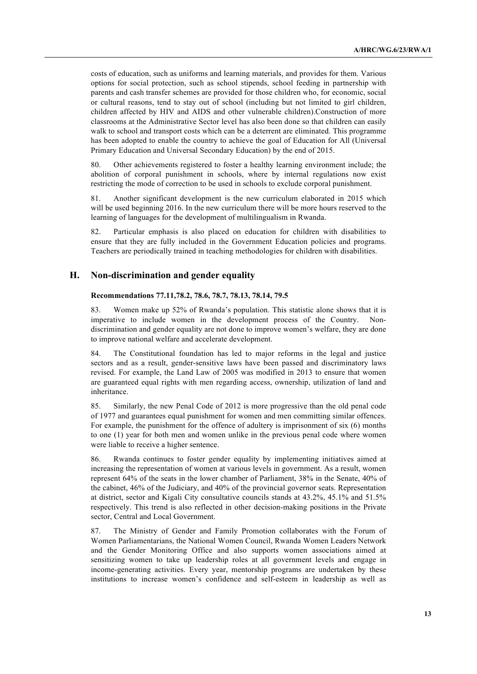costs of education, such as uniforms and learning materials, and provides for them. Various options for social protection, such as school stipends, school feeding in partnership with parents and cash transfer schemes are provided for those children who, for economic, social or cultural reasons, tend to stay out of school (including but not limited to girl children, children affected by HIV and AIDS and other vulnerable children).Construction of more classrooms at the Administrative Sector level has also been done so that children can easily walk to school and transport costs which can be a deterrent are eliminated. This programme has been adopted to enable the country to achieve the goal of Education for All (Universal Primary Education and Universal Secondary Education) by the end of 2015.

80. Other achievements registered to foster a healthy learning environment include; the abolition of corporal punishment in schools, where by internal regulations now exist restricting the mode of correction to be used in schools to exclude corporal punishment.

81. Another significant development is the new curriculum elaborated in 2015 which will be used beginning 2016. In the new curriculum there will be more hours reserved to the learning of languages for the development of multilingualism in Rwanda.

82. Particular emphasis is also placed on education for children with disabilities to ensure that they are fully included in the Government Education policies and programs. Teachers are periodically trained in teaching methodologies for children with disabilities.

## **H. Non-discrimination and gender equality**

## **Recommendations 77.11,78.2, 78.6, 78.7, 78.13, 78.14, 79.5**

83. Women make up 52% of Rwanda's population. This statistic alone shows that it is imperative to include women in the development process of the Country. Nondiscrimination and gender equality are not done to improve women's welfare, they are done to improve national welfare and accelerate development.

84. The Constitutional foundation has led to major reforms in the legal and justice sectors and as a result, gender-sensitive laws have been passed and discriminatory laws revised. For example, the Land Law of 2005 was modified in 2013 to ensure that women are guaranteed equal rights with men regarding access, ownership, utilization of land and inheritance.

85. Similarly, the new Penal Code of 2012 is more progressive than the old penal code of 1977 and guarantees equal punishment for women and men committing similar offences. For example, the punishment for the offence of adultery is imprisonment of six (6) months to one (1) year for both men and women unlike in the previous penal code where women were liable to receive a higher sentence.

86. Rwanda continues to foster gender equality by implementing initiatives aimed at increasing the representation of women at various levels in government. As a result, women represent 64% of the seats in the lower chamber of Parliament, 38% in the Senate, 40% of the cabinet, 46% of the Judiciary, and 40% of the provincial governor seats. Representation at district, sector and Kigali City consultative councils stands at 43.2%, 45.1% and 51.5% respectively. This trend is also reflected in other decision-making positions in the Private sector, Central and Local Government.

87. The Ministry of Gender and Family Promotion collaborates with the Forum of Women Parliamentarians, the National Women Council, Rwanda Women Leaders Network and the Gender Monitoring Office and also supports women associations aimed at sensitizing women to take up leadership roles at all government levels and engage in income-generating activities. Every year, mentorship programs are undertaken by these institutions to increase women's confidence and self-esteem in leadership as well as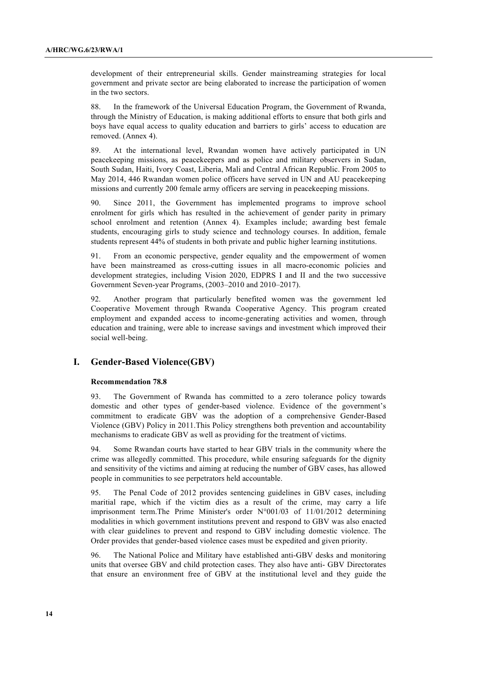development of their entrepreneurial skills. Gender mainstreaming strategies for local government and private sector are being elaborated to increase the participation of women in the two sectors.

88. In the framework of the Universal Education Program, the Government of Rwanda, through the Ministry of Education, is making additional efforts to ensure that both girls and boys have equal access to quality education and barriers to girls' access to education are removed. (Annex 4).

89. At the international level, Rwandan women have actively participated in UN peacekeeping missions, as peacekeepers and as police and military observers in Sudan, South Sudan, Haiti, Ivory Coast, Liberia, Mali and Central African Republic. From 2005 to May 2014, 446 Rwandan women police officers have served in UN and AU peacekeeping missions and currently 200 female army officers are serving in peacekeeping missions.

90. Since 2011, the Government has implemented programs to improve school enrolment for girls which has resulted in the achievement of gender parity in primary school enrolment and retention (Annex 4). Examples include; awarding best female students, encouraging girls to study science and technology courses. In addition, female students represent 44% of students in both private and public higher learning institutions.

91. From an economic perspective, gender equality and the empowerment of women have been mainstreamed as cross-cutting issues in all macro-economic policies and development strategies, including Vision 2020, EDPRS I and II and the two successive Government Seven-year Programs, (2003–2010 and 2010–2017).

92. Another program that particularly benefited women was the government led Cooperative Movement through Rwanda Cooperative Agency. This program created employment and expanded access to income-generating activities and women, through education and training, were able to increase savings and investment which improved their social well-being.

# **I. Gender-Based Violence(GBV)**

## **Recommendation 78.8**

93. The Government of Rwanda has committed to a zero tolerance policy towards domestic and other types of gender-based violence. Evidence of the government's commitment to eradicate GBV was the adoption of a comprehensive Gender-Based Violence (GBV) Policy in 2011.This Policy strengthens both prevention and accountability mechanisms to eradicate GBV as well as providing for the treatment of victims.

94. Some Rwandan courts have started to hear GBV trials in the community where the crime was allegedly committed. This procedure, while ensuring safeguards for the dignity and sensitivity of the victims and aiming at reducing the number of GBV cases, has allowed people in communities to see perpetrators held accountable.

95. The Penal Code of 2012 provides sentencing guidelines in GBV cases, including maritial rape, which if the victim dies as a result of the crime, may carry a life imprisonment term.The Prime Minister's order N°001/03 of 11/01/2012 determining modalities in which government institutions prevent and respond to GBV was also enacted with clear guidelines to prevent and respond to GBV including domestic violence. The Order provides that gender-based violence cases must be expedited and given priority.

96. The National Police and Military have established anti-GBV desks and monitoring units that oversee GBV and child protection cases. They also have anti- GBV Directorates that ensure an environment free of GBV at the institutional level and they guide the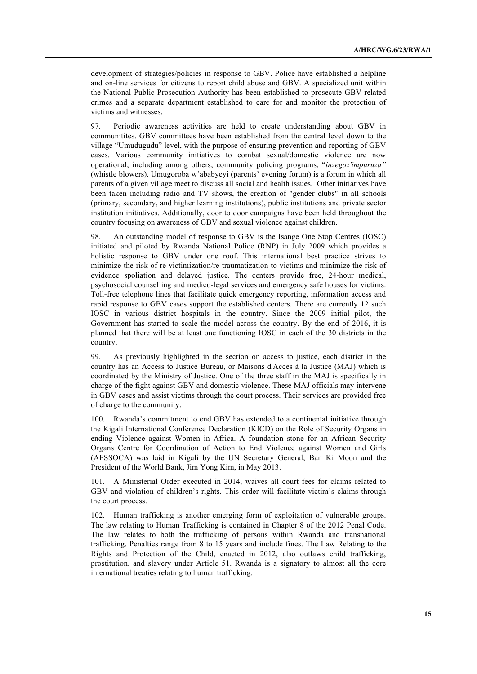development of strategies/policies in response to GBV. Police have established a helpline and on-line services for citizens to report child abuse and GBV. A specialized unit within the National Public Prosecution Authority has been established to prosecute GBV-related crimes and a separate department established to care for and monitor the protection of victims and witnesses.

97. Periodic awareness activities are held to create understanding about GBV in communitites. GBV committees have been established from the central level down to the village "Umudugudu" level, with the purpose of ensuring prevention and reporting of GBV cases. Various community initiatives to combat sexual/domestic violence are now operational, including among others; community policing programs, "*inzegoz'impuruza"* (whistle blowers). Umugoroba w'ababyeyi (parents' evening forum) is a forum in which all parents of a given village meet to discuss all social and health issues. Other initiatives have been taken including radio and TV shows, the creation of "gender clubs" in all schools (primary, secondary, and higher learning institutions), public institutions and private sector institution initiatives. Additionally, door to door campaigns have been held throughout the country focusing on awareness of GBV and sexual violence against children.

98. An outstanding model of response to GBV is the Isange One Stop Centres (IOSC) initiated and piloted by Rwanda National Police (RNP) in July 2009 which provides a holistic response to GBV under one roof. This international best practice strives to minimize the risk of re-victimization/re-traumatization to victims and minimize the risk of evidence spoliation and delayed justice. The centers provide free, 24-hour medical, psychosocial counselling and medico-legal services and emergency safe houses for victims. Toll-free telephone lines that facilitate quick emergency reporting, information access and rapid response to GBV cases support the established centers. There are currently 12 such IOSC in various district hospitals in the country. Since the 2009 initial pilot, the Government has started to scale the model across the country. By the end of 2016, it is planned that there will be at least one functioning IOSC in each of the 30 districts in the country.

99. As previously highlighted in the section on access to justice, each district in the country has an Access to Justice Bureau, or Maisons d'Accès à la Justice (MAJ) which is coordinated by the Ministry of Justice. One of the three staff in the MAJ is specifically in charge of the fight against GBV and domestic violence. These MAJ officials may intervene in GBV cases and assist victims through the court process. Their services are provided free of charge to the community.

100. Rwanda's commitment to end GBV has extended to a continental initiative through the Kigali International Conference Declaration (KICD) on the Role of Security Organs in ending Violence against Women in Africa. A foundation stone for an African Security Organs Centre for Coordination of Action to End Violence against Women and Girls (AFSSOCA) was laid in Kigali by the UN Secretary General, Ban Ki Moon and the President of the World Bank, Jim Yong Kim, in May 2013.

101. A Ministerial Order executed in 2014, waives all court fees for claims related to GBV and violation of children's rights. This order will facilitate victim's claims through the court process.

102. Human trafficking is another emerging form of exploitation of vulnerable groups. The law relating to Human Trafficking is contained in Chapter 8 of the 2012 Penal Code. The law relates to both the trafficking of persons within Rwanda and transnational trafficking. Penalties range from 8 to 15 years and include fines. The Law Relating to the Rights and Protection of the Child, enacted in 2012, also outlaws child trafficking, prostitution, and slavery under Article 51. Rwanda is a signatory to almost all the core international treaties relating to human trafficking.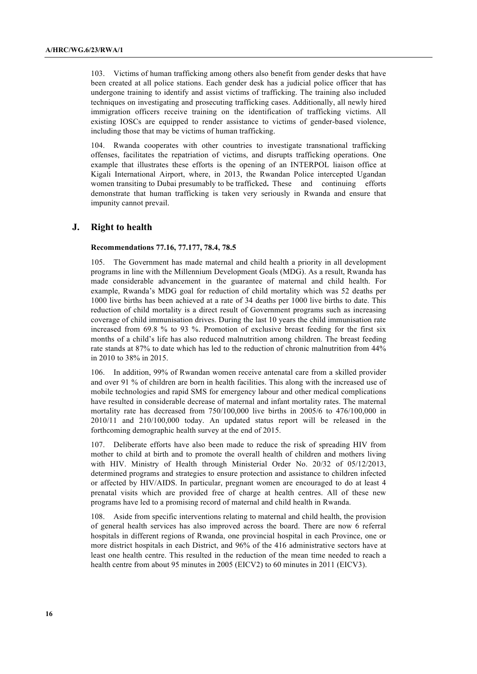103. Victims of human trafficking among others also benefit from gender desks that have been created at all police stations. Each gender desk has a judicial police officer that has undergone training to identify and assist victims of trafficking. The training also included techniques on investigating and prosecuting trafficking cases. Additionally, all newly hired immigration officers receive training on the identification of trafficking victims. All existing IOSCs are equipped to render assistance to victims of gender-based violence, including those that may be victims of human trafficking.

104. Rwanda cooperates with other countries to investigate transnational trafficking offenses, facilitates the repatriation of victims, and disrupts trafficking operations. One example that illustrates these efforts is the opening of an INTERPOL liaison office at Kigali International Airport, where, in 2013, the Rwandan Police intercepted Ugandan women transiting to Dubai presumably to be trafficked**.** These and continuing efforts demonstrate that human trafficking is taken very seriously in Rwanda and ensure that impunity cannot prevail.

## **J. Right to health**

#### **Recommendations 77.16, 77.177, 78.4, 78.5**

105. The Government has made maternal and child health a priority in all development programs in line with the Millennium Development Goals (MDG). As a result, Rwanda has made considerable advancement in the guarantee of maternal and child health. For example, Rwanda's MDG goal for reduction of child mortality which was 52 deaths per 1000 live births has been achieved at a rate of 34 deaths per 1000 live births to date. This reduction of child mortality is a direct result of Government programs such as increasing coverage of child immunisation drives. During the last 10 years the child immunisation rate increased from 69.8 % to 93 %. Promotion of exclusive breast feeding for the first six months of a child's life has also reduced malnutrition among children. The breast feeding rate stands at 87% to date which has led to the reduction of chronic malnutrition from 44% in 2010 to 38% in 2015.

106. In addition, 99% of Rwandan women receive antenatal care from a skilled provider and over 91 % of children are born in health facilities. This along with the increased use of mobile technologies and rapid SMS for emergency labour and other medical complications have resulted in considerable decrease of maternal and infant mortality rates. The maternal mortality rate has decreased from 750/100,000 live births in 2005/6 to 476/100,000 in 2010/11 and 210/100,000 today. An updated status report will be released in the forthcoming demographic health survey at the end of 2015.

107. Deliberate efforts have also been made to reduce the risk of spreading HIV from mother to child at birth and to promote the overall health of children and mothers living with HIV. Ministry of Health through Ministerial Order No. 20/32 of 05/12/2013, determined programs and strategies to ensure protection and assistance to children infected or affected by HIV/AIDS. In particular, pregnant women are encouraged to do at least 4 prenatal visits which are provided free of charge at health centres. All of these new programs have led to a promising record of maternal and child health in Rwanda.

108. Aside from specific interventions relating to maternal and child health, the provision of general health services has also improved across the board. There are now 6 referral hospitals in different regions of Rwanda, one provincial hospital in each Province, one or more district hospitals in each District, and 96% of the 416 administrative sectors have at least one health centre. This resulted in the reduction of the mean time needed to reach a health centre from about 95 minutes in 2005 (EICV2) to 60 minutes in 2011 (EICV3).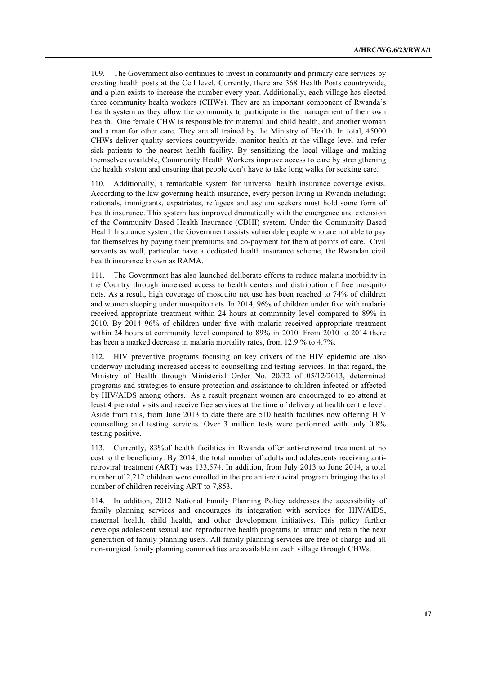109. The Government also continues to invest in community and primary care services by creating health posts at the Cell level. Currently, there are 368 Health Posts countrywide, and a plan exists to increase the number every year. Additionally, each village has elected three community health workers (CHWs). They are an important component of Rwanda's health system as they allow the community to participate in the management of their own health. One female CHW is responsible for maternal and child health, and another woman and a man for other care. They are all trained by the Ministry of Health. In total, 45000 CHWs deliver quality services countrywide, monitor health at the village level and refer sick patients to the nearest health facility. By sensitizing the local village and making themselves available, Community Health Workers improve access to care by strengthening the health system and ensuring that people don't have to take long walks for seeking care.

110. Additionally, a remarkable system for universal health insurance coverage exists. According to the law governing health insurance, every person living in Rwanda including; nationals, immigrants, expatriates, refugees and asylum seekers must hold some form of health insurance. This system has improved dramatically with the emergence and extension of the Community Based Health Insurance (CBHI) system. Under the Community Based Health Insurance system, the Government assists vulnerable people who are not able to pay for themselves by paying their premiums and co-payment for them at points of care. Civil servants as well, particular have a dedicated health insurance scheme, the Rwandan civil health insurance known as RAMA.

111. The Government has also launched deliberate efforts to reduce malaria morbidity in the Country through increased access to health centers and distribution of free mosquito nets. As a result, high coverage of mosquito net use has been reached to 74% of children and women sleeping under mosquito nets. In 2014, 96% of children under five with malaria received appropriate treatment within 24 hours at community level compared to 89% in 2010. By 2014 96% of children under five with malaria received appropriate treatment within 24 hours at community level compared to 89% in 2010. From 2010 to 2014 there has been a marked decrease in malaria mortality rates, from 12.9 % to 4.7%.

112. HIV preventive programs focusing on key drivers of the HIV epidemic are also underway including increased access to counselling and testing services. In that regard, the Ministry of Health through Ministerial Order No. 20/32 of 05/12/2013, determined programs and strategies to ensure protection and assistance to children infected or affected by HIV/AIDS among others. As a result pregnant women are encouraged to go attend at least 4 prenatal visits and receive free services at the time of delivery at health centre level. Aside from this, from June 2013 to date there are 510 health facilities now offering HIV counselling and testing services. Over 3 million tests were performed with only 0.8% testing positive.

113. Currently, 83%of health facilities in Rwanda offer anti-retroviral treatment at no cost to the beneficiary. By 2014, the total number of adults and adolescents receiving antiretroviral treatment (ART) was 133,574. In addition, from July 2013 to June 2014, a total number of 2,212 children were enrolled in the pre anti-retroviral program bringing the total number of children receiving ART to 7,853.

114. In addition, 2012 National Family Planning Policy addresses the accessibility of family planning services and encourages its integration with services for HIV/AIDS, maternal health, child health, and other development initiatives. This policy further develops adolescent sexual and reproductive health programs to attract and retain the next generation of family planning users. All family planning services are free of charge and all non-surgical family planning commodities are available in each village through CHWs.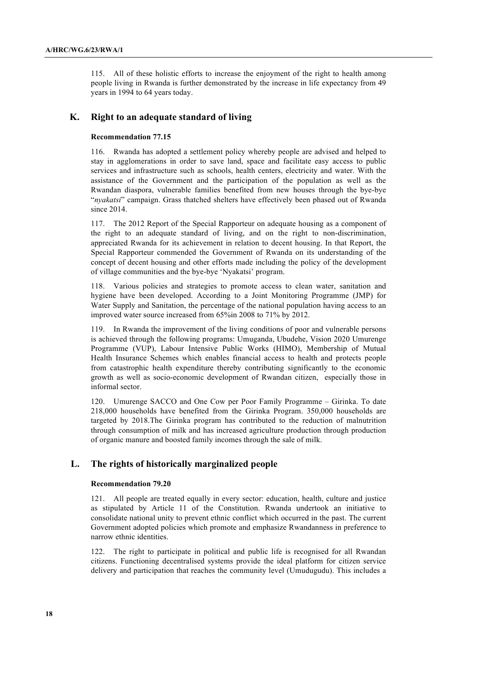115. All of these holistic efforts to increase the enjoyment of the right to health among people living in Rwanda is further demonstrated by the increase in life expectancy from 49 years in 1994 to 64 years today.

## **K. Right to an adequate standard of living**

#### **Recommendation 77.15**

116. Rwanda has adopted a settlement policy whereby people are advised and helped to stay in agglomerations in order to save land, space and facilitate easy access to public services and infrastructure such as schools, health centers, electricity and water. With the assistance of the Government and the participation of the population as well as the Rwandan diaspora, vulnerable families benefited from new houses through the bye-bye "*nyakatsi*" campaign. Grass thatched shelters have effectively been phased out of Rwanda since 2014.

117. The 2012 Report of the Special Rapporteur on adequate housing as a component of the right to an adequate standard of living, and on the right to non-discrimination, appreciated Rwanda for its achievement in relation to decent housing. In that Report, the Special Rapporteur commended the Government of Rwanda on its understanding of the concept of decent housing and other efforts made including the policy of the development of village communities and the bye-bye 'Nyakatsi' program.

118. Various policies and strategies to promote access to clean water, sanitation and hygiene have been developed. According to a Joint Monitoring Programme (JMP) for Water Supply and Sanitation, the percentage of the national population having access to an improved water source increased from 65%in 2008 to 71% by 2012.

119. In Rwanda the improvement of the living conditions of poor and vulnerable persons is achieved through the following programs: Umuganda, Ubudehe, Vision 2020 Umurenge Programme (VUP), Labour Intensive Public Works (HIMO), Membership of Mutual Health Insurance Schemes which enables financial access to health and protects people from catastrophic health expenditure thereby contributing significantly to the economic growth as well as socio-economic development of Rwandan citizen, especially those in informal sector.

120. Umurenge SACCO and One Cow per Poor Family Programme – Girinka. To date 218,000 households have benefited from the Girinka Program. 350,000 households are targeted by 2018.The Girinka program has contributed to the reduction of malnutrition through consumption of milk and has increased agriculture production through production of organic manure and boosted family incomes through the sale of milk.

# **L. The rights of historically marginalized people**

#### **Recommendation 79.20**

121. All people are treated equally in every sector: education, health, culture and justice as stipulated by Article 11 of the Constitution. Rwanda undertook an initiative to consolidate national unity to prevent ethnic conflict which occurred in the past. The current Government adopted policies which promote and emphasize Rwandanness in preference to narrow ethnic identities.

122. The right to participate in political and public life is recognised for all Rwandan citizens. Functioning decentralised systems provide the ideal platform for citizen service delivery and participation that reaches the community level (Umudugudu). This includes a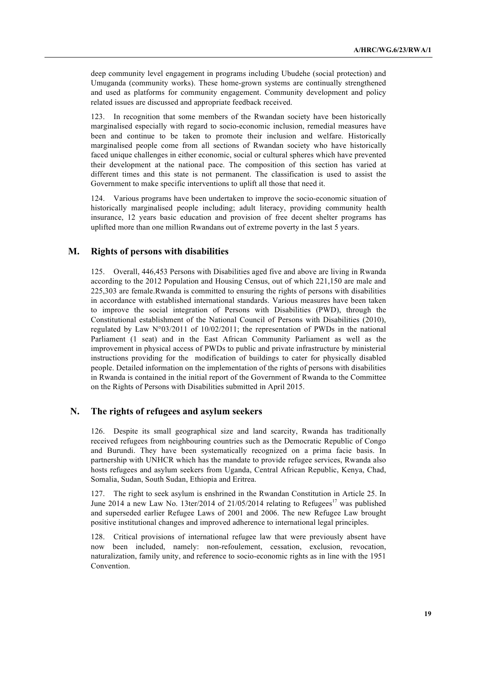deep community level engagement in programs including Ubudehe (social protection) and Umuganda (community works). These home-grown systems are continually strengthened and used as platforms for community engagement. Community development and policy related issues are discussed and appropriate feedback received.

123. In recognition that some members of the Rwandan society have been historically marginalised especially with regard to socio-economic inclusion, remedial measures have been and continue to be taken to promote their inclusion and welfare. Historically marginalised people come from all sections of Rwandan society who have historically faced unique challenges in either economic, social or cultural spheres which have prevented their development at the national pace. The composition of this section has varied at different times and this state is not permanent. The classification is used to assist the Government to make specific interventions to uplift all those that need it.

124. Various programs have been undertaken to improve the socio-economic situation of historically marginalised people including; adult literacy, providing community health insurance, 12 years basic education and provision of free decent shelter programs has uplifted more than one million Rwandans out of extreme poverty in the last 5 years.

## **M. Rights of persons with disabilities**

125. Overall, 446,453 Persons with Disabilities aged five and above are living in Rwanda according to the 2012 Population and Housing Census, out of which 221,150 are male and 225,303 are female.Rwanda is committed to ensuring the rights of persons with disabilities in accordance with established international standards. Various measures have been taken to improve the social integration of Persons with Disabilities (PWD), through the Constitutional establishment of the National Council of Persons with Disabilities (2010), regulated by Law N°03/2011 of 10/02/2011; the representation of PWDs in the national Parliament (1 seat) and in the East African Community Parliament as well as the improvement in physical access of PWDs to public and private infrastructure by ministerial instructions providing for the modification of buildings to cater for physically disabled people. Detailed information on the implementation of the rights of persons with disabilities in Rwanda is contained in the initial report of the Government of Rwanda to the Committee on the Rights of Persons with Disabilities submitted in April 2015.

## **N. The rights of refugees and asylum seekers**

126. Despite its small geographical size and land scarcity, Rwanda has traditionally received refugees from neighbouring countries such as the Democratic Republic of Congo and Burundi. They have been systematically recognized on a prima facie basis. In partnership with UNHCR which has the mandate to provide refugee services, Rwanda also hosts refugees and asylum seekers from Uganda, Central African Republic, Kenya, Chad, Somalia, Sudan, South Sudan, Ethiopia and Eritrea.

127. The right to seek asylum is enshrined in the Rwandan Constitution in Article 25. In June 2014 a new Law No. 13ter/2014 of  $21/05/2014$  relating to Refugees<sup>17</sup> was published and superseded earlier Refugee Laws of 2001 and 2006. The new Refugee Law brought positive institutional changes and improved adherence to international legal principles.

128. Critical provisions of international refugee law that were previously absent have now been included, namely: non-refoulement, cessation, exclusion, revocation, naturalization, family unity, and reference to socio-economic rights as in line with the 1951 Convention.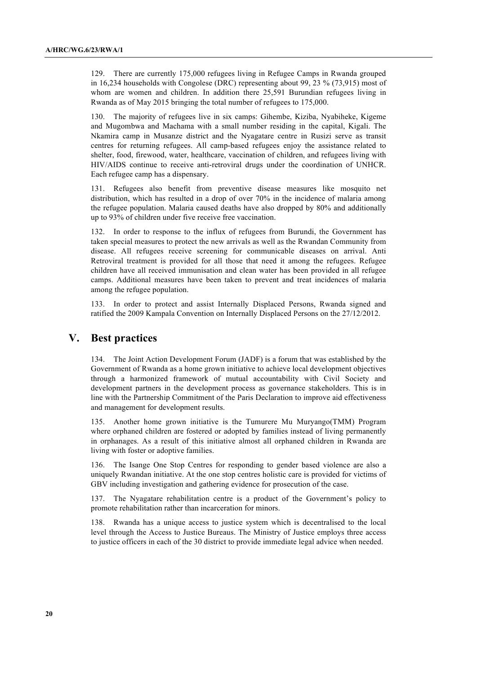129. There are currently 175,000 refugees living in Refugee Camps in Rwanda grouped in 16,234 households with Congolese (DRC) representing about 99, 23 % (73,915) most of whom are women and children. In addition there 25,591 Burundian refugees living in Rwanda as of May 2015 bringing the total number of refugees to 175,000.

130. The majority of refugees live in six camps: Gihembe, Kiziba, Nyabiheke, Kigeme and Mugombwa and Machama with a small number residing in the capital, Kigali. The Nkamira camp in Musanze district and the Nyagatare centre in Rusizi serve as transit centres for returning refugees. All camp-based refugees enjoy the assistance related to shelter, food, firewood, water, healthcare, vaccination of children, and refugees living with HIV/AIDS continue to receive anti-retroviral drugs under the coordination of UNHCR. Each refugee camp has a dispensary.

131. Refugees also benefit from preventive disease measures like mosquito net distribution, which has resulted in a drop of over 70% in the incidence of malaria among the refugee population. Malaria caused deaths have also dropped by 80% and additionally up to 93% of children under five receive free vaccination.

132. In order to response to the influx of refugees from Burundi, the Government has taken special measures to protect the new arrivals as well as the Rwandan Community from disease. All refugees receive screening for communicable diseases on arrival. Anti Retroviral treatment is provided for all those that need it among the refugees. Refugee children have all received immunisation and clean water has been provided in all refugee camps. Additional measures have been taken to prevent and treat incidences of malaria among the refugee population.

133. In order to protect and assist Internally Displaced Persons, Rwanda signed and ratified the 2009 Kampala Convention on Internally Displaced Persons on the 27/12/2012.

# **V. Best practices**

134. The Joint Action Development Forum (JADF) is a forum that was established by the Government of Rwanda as a home grown initiative to achieve local development objectives through a harmonized framework of mutual accountability with Civil Society and development partners in the development process as governance stakeholders. This is in line with the Partnership Commitment of the Paris Declaration to improve aid effectiveness and management for development results.

135. Another home grown initiative is the Tumurere Mu Muryango(TMM) Program where orphaned children are fostered or adopted by families instead of living permanently in orphanages. As a result of this initiative almost all orphaned children in Rwanda are living with foster or adoptive families.

136. The Isange One Stop Centres for responding to gender based violence are also a uniquely Rwandan initiative. At the one stop centres holistic care is provided for victims of GBV including investigation and gathering evidence for prosecution of the case.

137. The Nyagatare rehabilitation centre is a product of the Government's policy to promote rehabilitation rather than incarceration for minors.

138. Rwanda has a unique access to justice system which is decentralised to the local level through the Access to Justice Bureaus. The Ministry of Justice employs three access to justice officers in each of the 30 district to provide immediate legal advice when needed.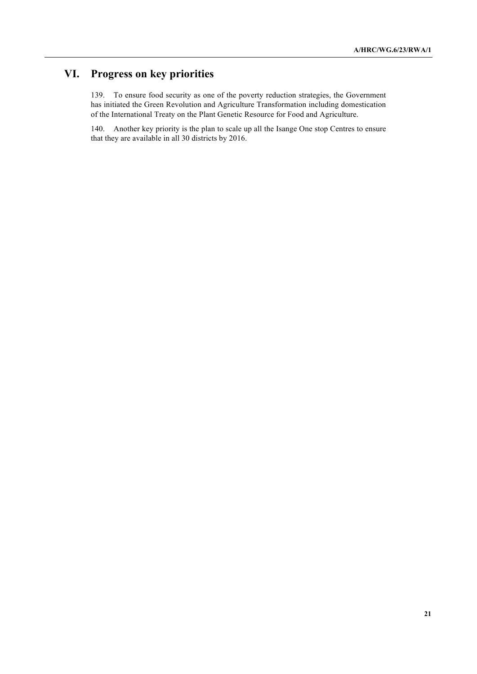# **VI. Progress on key priorities**

139. To ensure food security as one of the poverty reduction strategies, the Government has initiated the Green Revolution and Agriculture Transformation including domestication of the International Treaty on the Plant Genetic Resource for Food and Agriculture.

140. Another key priority is the plan to scale up all the Isange One stop Centres to ensure that they are available in all 30 districts by 2016.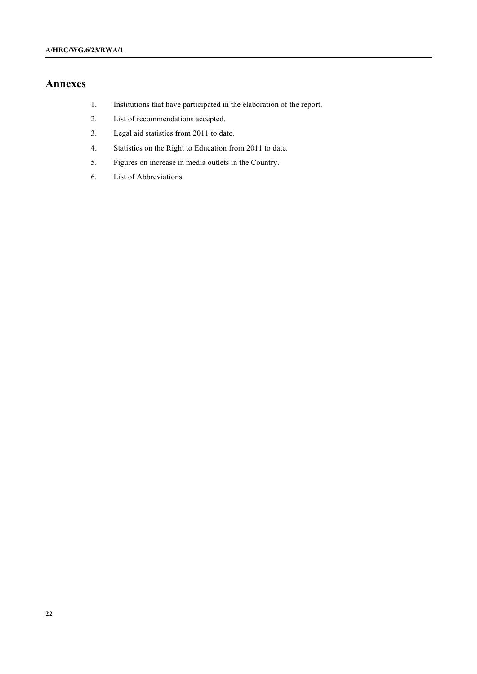# **Annexes**

- 1. Institutions that have participated in the elaboration of the report.
- 2. List of recommendations accepted.
- 3. Legal aid statistics from 2011 to date.
- 4. Statistics on the Right to Education from 2011 to date.
- 5. Figures on increase in media outlets in the Country.
- 6. List of Abbreviations.